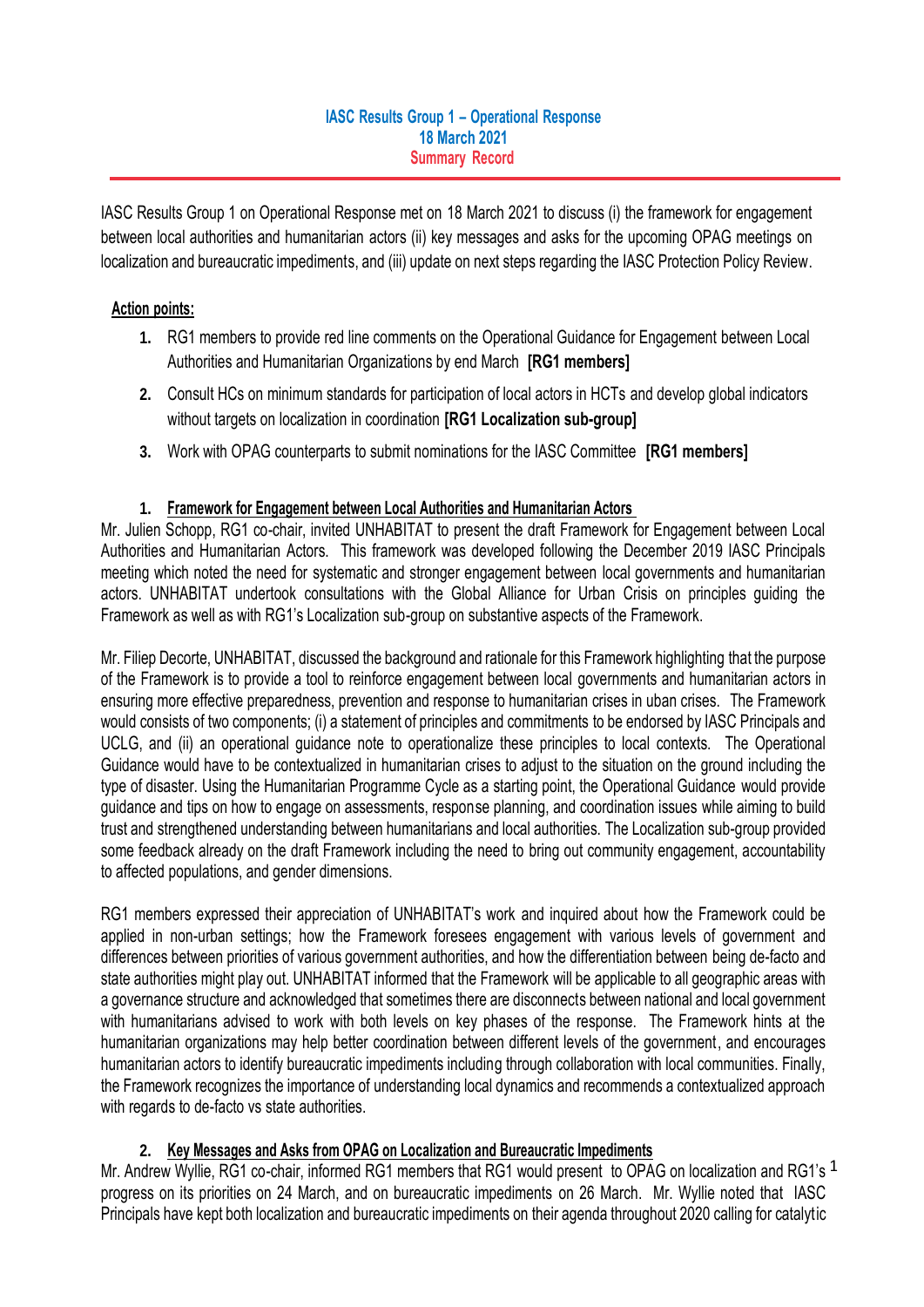#### **IASC Results Group 1 – Operational Response 18 March 2021 Summary Record**

IASC Results Group 1 on Operational Response met on 18 March 2021 to discuss (i) the framework for engagement between local authorities and humanitarian actors (ii) key messages and asks for the upcoming OPAG meetings on localization and bureaucratic impediments, and (iii) update on next steps regarding the IASC Protection Policy Review.

## **Action points:**

- **1.** RG1 members to provide red line comments on the Operational Guidance for Engagement between Local Authorities and Humanitarian Organizations by end March **[RG1 members]**
- **2.** Consult HCs on minimum standards for participation of local actors in HCTs and develop global indicators without targets on localization in coordination **[RG1 Localization sub-group]**
- **3.** Work with OPAG counterparts to submit nominations for the IASC Committee **[RG1 members]**

## **1. Framework for Engagement between Local Authorities and Humanitarian Actors**

Mr. Julien Schopp, RG1 co-chair, invited UNHABITAT to present the draft Framework for Engagement between Local Authorities and Humanitarian Actors. This framework was developed following the December 2019 IASC Principals meeting which noted the need for systematic and stronger engagement between local governments and humanitarian actors. UNHABITAT undertook consultations with the Global Alliance for Urban Crisis on principles guiding the Framework as well as with RG1's Localization sub-group on substantive aspects of the Framework.

Mr. Filiep Decorte, UNHABITAT, discussed the background and rationale for this Framework highlighting that the purpose of the Framework is to provide a tool to reinforce engagement between local governments and humanitarian actors in ensuring more effective preparedness, prevention and response to humanitarian crises in uban crises. The Framework would consists of two components; (i) a statement of principles and commitments to be endorsed by IASC Principals and UCLG, and (ii) an operational guidance note to operationalize these principles to local contexts. The Operational Guidance would have to be contextualized in humanitarian crises to adjust to the situation on the ground including the type of disaster. Using the Humanitarian Programme Cycle as a starting point, the Operational Guidance would provide guidance and tips on how to engage on assessments, response planning, and coordination issues while aiming to build trust and strengthened understanding between humanitarians and local authorities. The Localization sub-group provided some feedback already on the draft Framework including the need to bring out community engagement, accountability to affected populations, and gender dimensions.

RG1 members expressed their appreciation of UNHABITAT's work and inquired about how the Framework could be applied in non-urban settings; how the Framework foresees engagement with various levels of government and differences between priorities of various government authorities, and how the differentiation between being de-facto and state authorities might play out. UNHABITAT informed that the Framework will be applicable to all geographic areas with a governance structure and acknowledged that sometimes there are disconnects between national and local government with humanitarians advised to work with both levels on key phases of the response. The Framework hints at the humanitarian organizations may help better coordination between different levels of the government, and encourages humanitarian actors to identify bureaucratic impediments including through collaboration with local communities. Finally, the Framework recognizes the importance of understanding local dynamics and recommends a contextualized approach with regards to de-facto vs state authorities.

# **2. Key Messages and Asks from OPAG on Localization and Bureaucratic Impediments**

Mr. Andrew Wyllie, RG1 co-chair, informed RG1 members that RG1 would present to OPAG on localization and RG1's <sup>1</sup> progress on its priorities on 24 March, and on bureaucratic impediments on 26 March. Mr. Wyllie noted that IASC Principals have kept both localization and bureaucratic impediments on their agenda throughout 2020 calling for catalytic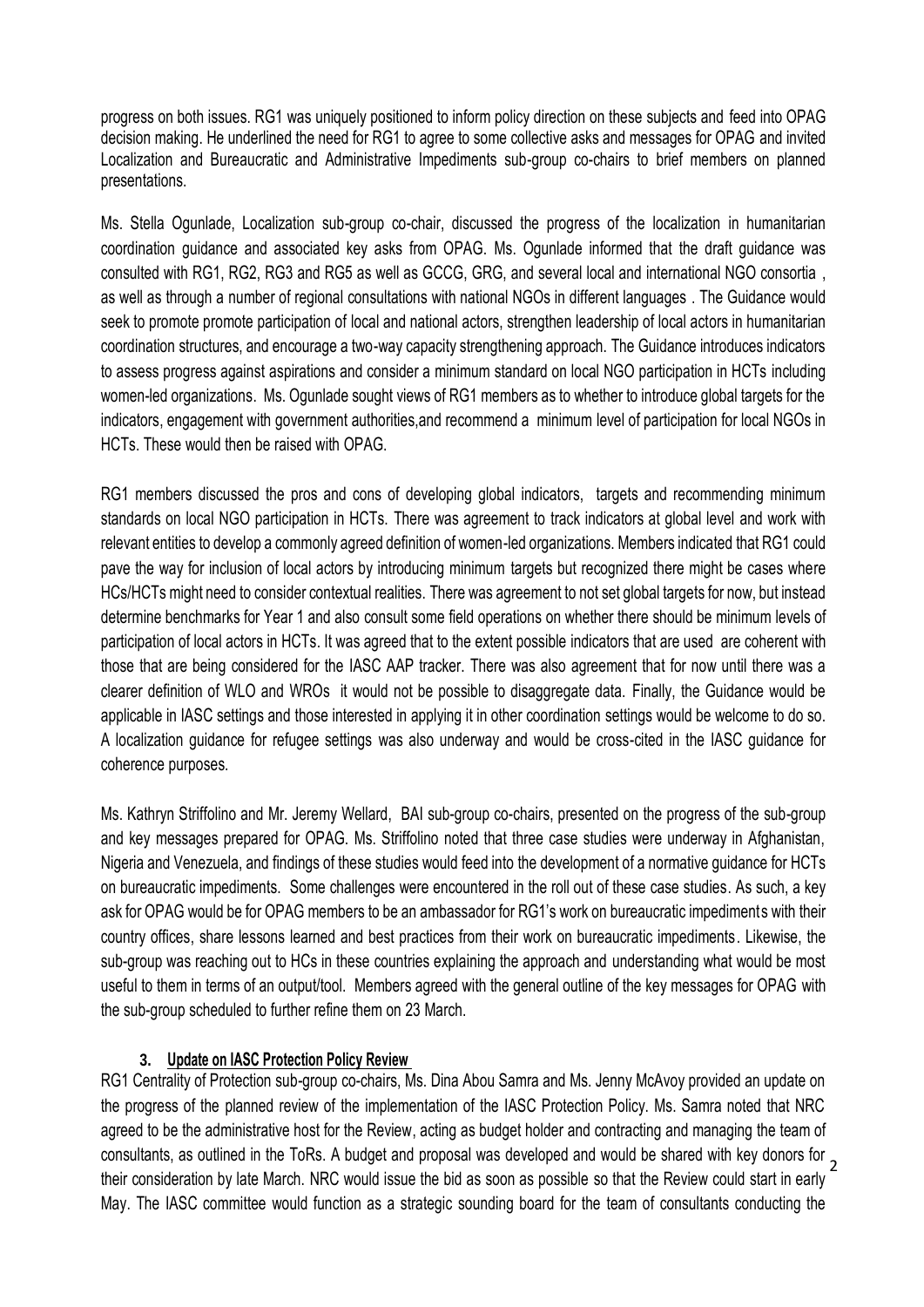progress on both issues. RG1 was uniquely positioned to inform policy direction on these subjects and feed into OPAG decision making. He underlined the need for RG1 to agree to some collective asks and messages for OPAG and invited Localization and Bureaucratic and Administrative Impediments sub-group co-chairs to brief members on planned presentations.

Ms. Stella Ogunlade, Localization sub-group co-chair, discussed the progress of the localization in humanitarian coordination guidance and associated key asks from OPAG. Ms. Ogunlade informed that the draft guidance was consulted with RG1, RG2, RG3 and RG5 as well as GCCG, GRG, and several local and international NGO consortia , as well as through a number of regional consultations with national NGOs in different languages . The Guidance would seek to promote promote participation of local and national actors, strengthen leadership of local actors in humanitarian coordination structures, and encourage a two-way capacity strengthening approach. The Guidance introduces indicators to assess progress against aspirations and consider a minimum standard on local NGO participation in HCTs including women-led organizations. Ms. Ogunlade sought views of RG1 members as to whether to introduce global targets for the indicators, engagement with government authorities,and recommend a minimum level of participation for local NGOs in HCTs. These would then be raised with OPAG.

RG1 members discussed the pros and cons of developing global indicators, targets and recommending minimum standards on local NGO participation in HCTs. There was agreement to track indicators at global level and work with relevant entities to develop a commonly agreed definition of women-led organizations. Members indicated that RG1 could pave the way for inclusion of local actors by introducing minimum targets but recognized there might be cases where HCs/HCTs might need to consider contextual realities. There was agreement to not set global targets for now, but instead determine benchmarks for Year 1 and also consult some field operations on whether there should be minimum levels of participation of local actors in HCTs. It was agreed that to the extent possible indicators that are used are coherent with those that are being considered for the IASC AAP tracker. There was also agreement that for now until there was a clearer definition of WLO and WROs it would not be possible to disaggregate data. Finally, the Guidance would be applicable in IASC settings and those interested in applying it in other coordination settings would be welcome to do so. A localization guidance for refugee settings was also underway and would be cross-cited in the IASC guidance for coherence purposes.

Ms. Kathryn Striffolino and Mr. Jeremy Wellard, BAI sub-group co-chairs, presented on the progress of the sub-group and key messages prepared for OPAG. Ms. Striffolino noted that three case studies were underway in Afghanistan, Nigeria and Venezuela, and findings of these studies would feed into the development of a normative guidance for HCTs on bureaucratic impediments. Some challenges were encountered in the roll out of these case studies. As such, a key ask for OPAG would be for OPAG members to be an ambassador for RG1's work on bureaucratic impediments with their country offices, share lessons learned and best practices from their work on bureaucratic impediments. Likewise, the sub-group was reaching out to HCs in these countries explaining the approach and understanding what would be most useful to them in terms of an output/tool. Members agreed with the general outline of the key messages for OPAG with the sub-group scheduled to further refine them on 23 March.

#### **3. Update on IASC Protection Policy Review**

2 consultants, as outlined in the ToRs. A budget and proposal was developed and would be shared with key donors for RG1 Centrality of Protection sub-group co-chairs, Ms. Dina Abou Samra and Ms. Jenny McAvoy provided an update on the progress of the planned review of the implementation of the IASC Protection Policy. Ms. Samra noted that NRC agreed to be the administrative host for the Review, acting as budget holder and contracting and managing the team of their consideration by late March. NRC would issue the bid as soon as possible so that the Review could start in early May. The IASC committee would function as a strategic sounding board for the team of consultants conducting the